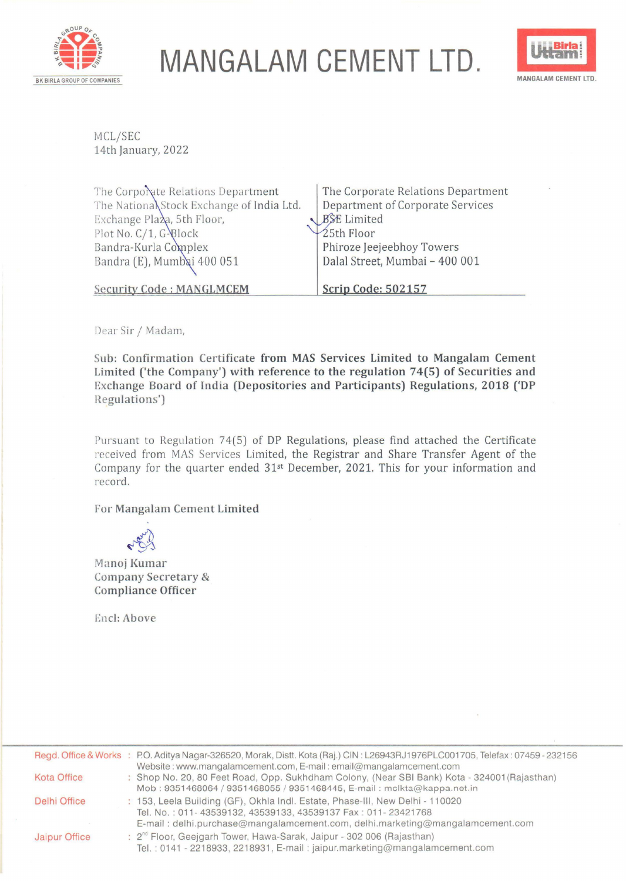

## **MANGALAM CEMENT LTD.**



MCL/SEC 14th January, 2022

| The Corporate Relations Department        | The Corporate Relations Department |
|-------------------------------------------|------------------------------------|
| The National Stock Exchange of India Ltd. | Department of Corporate Services   |
| Exchange Plaza, 5th Floor,                | BSE Limited                        |
| Plot No. C/1, G-Plock                     | $\frac{1}{2}$ 5th Floor            |
| Bandra-Kurla Complex                      | Phiroze Jeejeebhoy Towers          |
| Bandra (E), Mumbai 400 051                | Dalal Street, Mumbai - 400 001     |
| <b>Security Code: MANGLMCEM</b>           | Scrip Code: 502157                 |

Dear Sir/ Madam,

**Sub: Confirmation Certificate from MAS Services Limited to Mangalam Cement Limited ('the Company') with reference to the regulation 74(5) of Securities and Exchange Board of India (Depositories and Participants) Regulations, 2018 ('DP Regulations')** 

Pursuant to Regulation 74(5) of DP Regulations, please find attached the Certificate received from MAS Services Limited, the Registrar and Share Transfer Agent of the Company for the quarter ended 31st December, 2021. This for your information and record.

For Mangalam Cement Limited

Manoj Kumar Company Secretary & Compliance Officer

Encl: Above

|                    | Regd. Office & Works : P.O. Aditya Nagar-326520, Morak, Distt. Kota (Raj.) CIN: L26943RJ1976PLC001705, Telefax: 07459 - 232156<br>Website: www.mangalamcement.com, E-mail: email@mangalamcement.com                            |  |
|--------------------|--------------------------------------------------------------------------------------------------------------------------------------------------------------------------------------------------------------------------------|--|
| <b>Kota Office</b> | : Shop No. 20, 80 Feet Road, Opp. Sukhdham Colony, (Near SBI Bank) Kota - 324001 (Rajasthan)<br>Mob: 9351468064 / 9351468055 / 9351468445, E-mail: mclkta@kappa.net.in                                                         |  |
| Delhi Office       | : 153, Leela Building (GF), Okhla Indl. Estate, Phase-III, New Delhi - 110020<br>Tel. No.: 011-43539132, 43539133, 43539137 Fax: 011-23421768<br>E-mail: delhi.purchase@mangalamcement.com, delhi.marketing@mangalamcement.com |  |
| Jaipur Office      | : 2 <sup>nd</sup> Floor, Geejgarh Tower, Hawa-Sarak, Jaipur - 302 006 (Rajasthan)<br>Tel.: 0141 - 2218933, 2218931, E-mail: jaipur.marketing@mangalamcement.com                                                                |  |